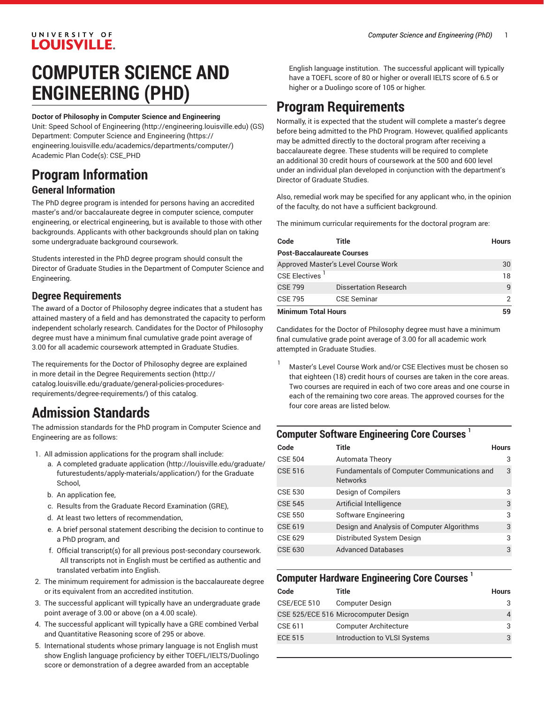### UNIVERSITY OF **LOUISVILLE.**

# **COMPUTER SCIENCE AND ENGINEERING (PHD)**

#### **Doctor of Philosophy in Computer Science and Engineering**

Unit: [Speed School of Engineering](http://engineering.louisville.edu) (<http://engineering.louisville.edu>) (GS) Department: [Computer Science and Engineering](https://engineering.louisville.edu/academics/departments/computer/) [\(https://](https://engineering.louisville.edu/academics/departments/computer/) [engineering.louisville.edu/academics/departments/computer/](https://engineering.louisville.edu/academics/departments/computer/)) Academic Plan Code(s): CSE\_PHD

### **Program Information General Information**

The PhD degree program is intended for persons having an accredited master's and/or baccalaureate degree in computer science, computer engineering, or electrical engineering, but is available to those with other backgrounds. Applicants with other backgrounds should plan on taking some undergraduate background coursework.

Students interested in the PhD degree program should consult the Director of Graduate Studies in the Department of Computer Science and Engineering.

#### **Degree Requirements**

The award of a Doctor of Philosophy degree indicates that a student has attained mastery of a field and has demonstrated the capacity to perform independent scholarly research. Candidates for the Doctor of Philosophy degree must have a minimum final cumulative grade point average of 3.00 for all academic coursework attempted in Graduate Studies.

The requirements for the Doctor of Philosophy degree are explained in more detail in the Degree [Requirements](http://catalog.louisville.edu/graduate/general-policies-procedures-requirements/degree-requirements/) section [\(http://](http://catalog.louisville.edu/graduate/general-policies-procedures-requirements/degree-requirements/) [catalog.louisville.edu/graduate/general-policies-procedures](http://catalog.louisville.edu/graduate/general-policies-procedures-requirements/degree-requirements/)[requirements/degree-requirements/](http://catalog.louisville.edu/graduate/general-policies-procedures-requirements/degree-requirements/)) of this catalog.

## **Admission Standards**

The admission standards for the PhD program in Computer Science and Engineering are as follows:

- 1. All admission applications for the program shall include:
	- a. A completed [graduate application](http://louisville.edu/graduate/futurestudents/apply-materials/application/) ([http://louisville.edu/graduate/](http://louisville.edu/graduate/futurestudents/apply-materials/application/) [futurestudents/apply-materials/application/\)](http://louisville.edu/graduate/futurestudents/apply-materials/application/) for the Graduate School,
	- b. An application fee,
	- c. Results from the Graduate Record Examination (GRE),
	- d. At least two letters of recommendation,
	- e. A brief personal statement describing the decision to continue to a PhD program, and
	- f. Official transcript(s) for all previous post-secondary coursework. All transcripts not in English must be certified as authentic and translated verbatim into English.
- 2. The minimum requirement for admission is the baccalaureate degree or its equivalent from an accredited institution.
- 3. The successful applicant will typically have an undergraduate grade point average of 3.00 or above (on a 4.00 scale).
- 4. The successful applicant will typically have a GRE combined Verbal and Quantitative Reasoning score of 295 or above.
- 5. International students whose primary language is not English must show English language proficiency by either TOEFL/IELTS/Duolingo score or demonstration of a degree awarded from an acceptable

English language institution. The successful applicant will typically have a TOEFL score of 80 or higher or overall IELTS score of 6.5 or higher or a Duolingo score of 105 or higher.

### **Program Requirements**

Normally, it is expected that the student will complete a master's degree before being admitted to the PhD Program. However, qualified applicants may be admitted directly to the doctoral program after receiving a baccalaureate degree. These students will be required to complete an additional 30 credit hours of coursework at the 500 and 600 level under an individual plan developed in conjunction with the department's Director of Graduate Studies.

Also, remedial work may be specified for any applicant who, in the opinion of the faculty, do not have a sufficient background.

The minimum curricular requirements for the doctoral program are:

| Code                                | Title                        | <b>Hours</b> |  |  |
|-------------------------------------|------------------------------|--------------|--|--|
| <b>Post-Baccalaureate Courses</b>   |                              |              |  |  |
| Approved Master's Level Course Work |                              | 30           |  |  |
| CSE Electives <sup>1</sup>          |                              | 18           |  |  |
| <b>CSE 799</b>                      | <b>Dissertation Research</b> | q            |  |  |
| <b>CSE 795</b>                      | <b>CSE Seminar</b>           |              |  |  |
| <b>Minimum Total Hours</b>          |                              | 59           |  |  |

Candidates for the Doctor of Philosophy degree must have a minimum final cumulative grade point average of 3.00 for all academic work attempted in Graduate Studies.

Master's Level Course Work and/or CSE Electives must be chosen so that eighteen (18) credit hours of courses are taken in the core areas. Two courses are required in each of two core areas and one course in each of the remaining two core areas. The approved courses for the four core areas are listed below.

### **Computer Software Engineering Core Courses 1**

| Code           | Title                                                          | <b>Hours</b> |
|----------------|----------------------------------------------------------------|--------------|
| <b>CSE 504</b> | Automata Theory                                                | 3            |
| <b>CSE 516</b> | Fundamentals of Computer Communications and<br><b>Networks</b> | 3            |
| <b>CSE 530</b> | Design of Compilers                                            | 3            |
| <b>CSE 545</b> | Artificial Intelligence                                        | 3            |
| <b>CSE 550</b> | Software Engineering                                           | 3            |
| <b>CSE 619</b> | Design and Analysis of Computer Algorithms                     | 3            |
| CSE 629        | Distributed System Design                                      | 3            |
| <b>CSE 630</b> | <b>Advanced Databases</b>                                      | 3            |

### **Computer Hardware Engineering Core Courses 1**

| Code           | Title                                | <b>Hours</b> |
|----------------|--------------------------------------|--------------|
| CSE/ECE 510    | <b>Computer Design</b>               | 3            |
|                | CSE 525/ECE 516 Microcomputer Design | 4            |
| CSE 611        | <b>Computer Architecture</b>         | 3            |
| <b>ECE 515</b> | Introduction to VLSI Systems         | 3            |